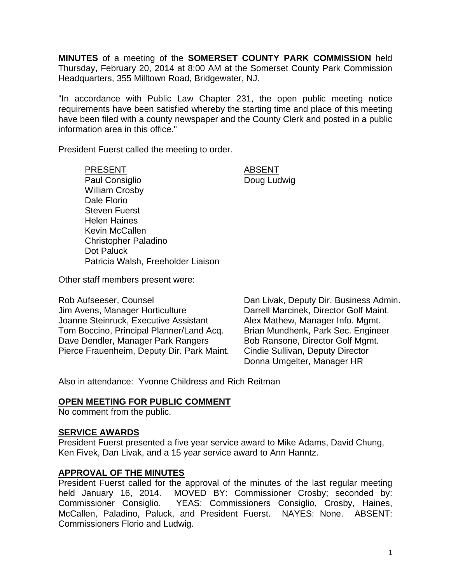**MINUTES** of a meeting of the **SOMERSET COUNTY PARK COMMISSION** held Thursday, February 20, 2014 at 8:00 AM at the Somerset County Park Commission Headquarters, 355 Milltown Road, Bridgewater, NJ.

"In accordance with Public Law Chapter 231, the open public meeting notice requirements have been satisfied whereby the starting time and place of this meeting have been filed with a county newspaper and the County Clerk and posted in a public information area in this office."

President Fuerst called the meeting to order.

PRESENT ABSENT Paul Consiglio **Doug Ludwig** William Crosby Dale Florio Steven Fuerst Helen Haines Kevin McCallen Christopher Paladino Dot Paluck Patricia Walsh, Freeholder Liaison

Other staff members present were:

Rob Aufseeser, Counsel **Dan Livak, Deputy Dir. Business Admin.** Jim Avens, Manager Horticulture Darrell Marcinek, Director Golf Maint. Joanne Steinruck, Executive Assistant Alex Mathew, Manager Info. Mgmt. Tom Boccino, Principal Planner/Land Acq. Brian Mundhenk, Park Sec. Engineer Dave Dendler, Manager Park Rangers Bob Ransone, Director Golf Mgmt. Pierce Frauenheim, Deputy Dir. Park Maint. Cindie Sullivan, Deputy Director

Donna Umgelter, Manager HR

Also in attendance: Yvonne Childress and Rich Reitman

# **OPEN MEETING FOR PUBLIC COMMENT**

No comment from the public.

#### **SERVICE AWARDS**

President Fuerst presented a five year service award to Mike Adams, David Chung, Ken Fivek, Dan Livak, and a 15 year service award to Ann Hanntz.

# **APPROVAL OF THE MINUTES**

President Fuerst called for the approval of the minutes of the last regular meeting held January 16, 2014. MOVED BY: Commissioner Crosby; seconded by: Commissioner Consiglio. YEAS: Commissioners Consiglio, Crosby, Haines, McCallen, Paladino, Paluck, and President Fuerst. NAYES: None. ABSENT: Commissioners Florio and Ludwig.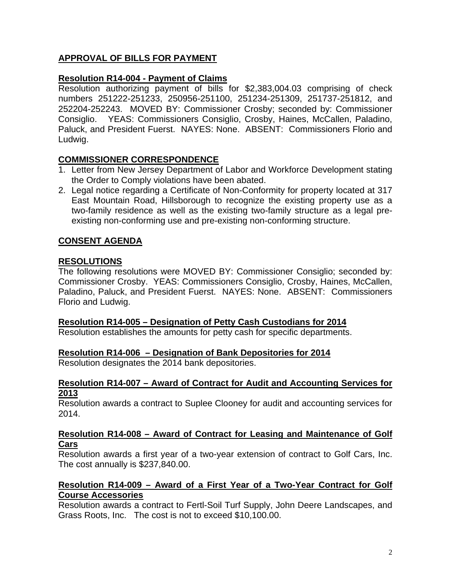# **APPROVAL OF BILLS FOR PAYMENT**

# **Resolution R14-004 - Payment of Claims**

Resolution authorizing payment of bills for \$2,383,004.03 comprising of check numbers 251222-251233, 250956-251100, 251234-251309, 251737-251812, and 252204-252243. MOVED BY: Commissioner Crosby; seconded by: Commissioner Consiglio. YEAS: Commissioners Consiglio, Crosby, Haines, McCallen, Paladino, Paluck, and President Fuerst. NAYES: None. ABSENT: Commissioners Florio and Ludwig.

# **COMMISSIONER CORRESPONDENCE**

- 1. Letter from New Jersey Department of Labor and Workforce Development stating the Order to Comply violations have been abated.
- 2. Legal notice regarding a Certificate of Non-Conformity for property located at 317 East Mountain Road, Hillsborough to recognize the existing property use as a two-family residence as well as the existing two-family structure as a legal preexisting non-conforming use and pre-existing non-conforming structure.

# **CONSENT AGENDA**

# **RESOLUTIONS**

The following resolutions were MOVED BY: Commissioner Consiglio; seconded by: Commissioner Crosby. YEAS: Commissioners Consiglio, Crosby, Haines, McCallen, Paladino, Paluck, and President Fuerst. NAYES: None. ABSENT: Commissioners Florio and Ludwig.

# **Resolution R14-005 – Designation of Petty Cash Custodians for 2014**

Resolution establishes the amounts for petty cash for specific departments.

# **Resolution R14-006 – Designation of Bank Depositories for 2014**

Resolution designates the 2014 bank depositories.

### **Resolution R14-007 – Award of Contract for Audit and Accounting Services for 2013**

Resolution awards a contract to Suplee Clooney for audit and accounting services for 2014.

# **Resolution R14-008 – Award of Contract for Leasing and Maintenance of Golf Cars**

Resolution awards a first year of a two-year extension of contract to Golf Cars, Inc. The cost annually is \$237,840.00.

# **Resolution R14-009 – Award of a First Year of a Two-Year Contract for Golf Course Accessories**

Resolution awards a contract to Fertl-Soil Turf Supply, John Deere Landscapes, and Grass Roots, Inc. The cost is not to exceed \$10,100.00.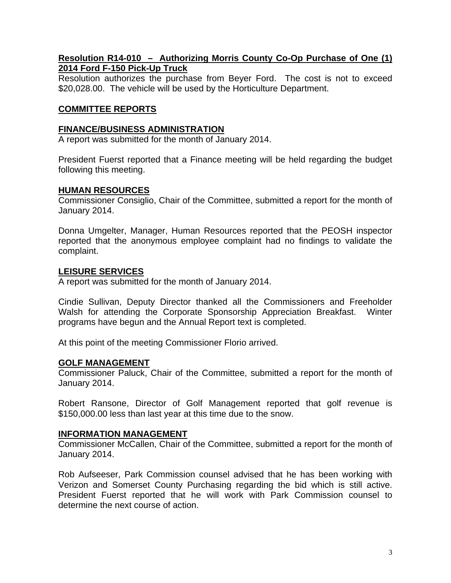# **Resolution R14-010 – Authorizing Morris County Co-Op Purchase of One (1) 2014 Ford F-150 Pick-Up Truck**

Resolution authorizes the purchase from Beyer Ford. The cost is not to exceed \$20,028.00. The vehicle will be used by the Horticulture Department.

# **COMMITTEE REPORTS**

### **FINANCE/BUSINESS ADMINISTRATION**

A report was submitted for the month of January 2014.

President Fuerst reported that a Finance meeting will be held regarding the budget following this meeting.

# **HUMAN RESOURCES**

Commissioner Consiglio, Chair of the Committee, submitted a report for the month of January 2014.

Donna Umgelter, Manager, Human Resources reported that the PEOSH inspector reported that the anonymous employee complaint had no findings to validate the complaint.

# **LEISURE SERVICES**

A report was submitted for the month of January 2014.

Cindie Sullivan, Deputy Director thanked all the Commissioners and Freeholder Walsh for attending the Corporate Sponsorship Appreciation Breakfast. Winter programs have begun and the Annual Report text is completed.

At this point of the meeting Commissioner Florio arrived.

# **GOLF MANAGEMENT**

Commissioner Paluck, Chair of the Committee, submitted a report for the month of January 2014.

Robert Ransone, Director of Golf Management reported that golf revenue is \$150,000.00 less than last year at this time due to the snow.

# **INFORMATION MANAGEMENT**

Commissioner McCallen, Chair of the Committee, submitted a report for the month of January 2014.

Rob Aufseeser, Park Commission counsel advised that he has been working with Verizon and Somerset County Purchasing regarding the bid which is still active. President Fuerst reported that he will work with Park Commission counsel to determine the next course of action.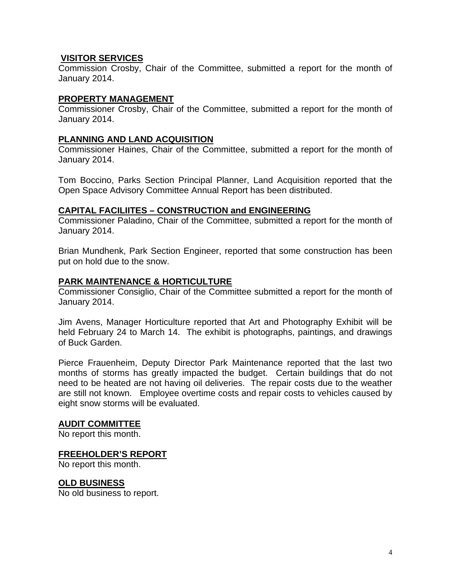# **VISITOR SERVICES**

Commission Crosby, Chair of the Committee, submitted a report for the month of January 2014.

## **PROPERTY MANAGEMENT**

Commissioner Crosby, Chair of the Committee, submitted a report for the month of January 2014.

## **PLANNING AND LAND ACQUISITION**

Commissioner Haines, Chair of the Committee, submitted a report for the month of January 2014.

Tom Boccino, Parks Section Principal Planner, Land Acquisition reported that the Open Space Advisory Committee Annual Report has been distributed.

#### **CAPITAL FACILIITES – CONSTRUCTION and ENGINEERING**

Commissioner Paladino, Chair of the Committee, submitted a report for the month of January 2014.

Brian Mundhenk, Park Section Engineer, reported that some construction has been put on hold due to the snow.

#### **PARK MAINTENANCE & HORTICULTURE**

Commissioner Consiglio, Chair of the Committee submitted a report for the month of January 2014.

Jim Avens, Manager Horticulture reported that Art and Photography Exhibit will be held February 24 to March 14. The exhibit is photographs, paintings, and drawings of Buck Garden.

Pierce Frauenheim, Deputy Director Park Maintenance reported that the last two months of storms has greatly impacted the budget. Certain buildings that do not need to be heated are not having oil deliveries. The repair costs due to the weather are still not known. Employee overtime costs and repair costs to vehicles caused by eight snow storms will be evaluated.

#### **AUDIT COMMITTEE**

No report this month.

#### **FREEHOLDER'S REPORT**

No report this month.

# **OLD BUSINESS**

No old business to report.